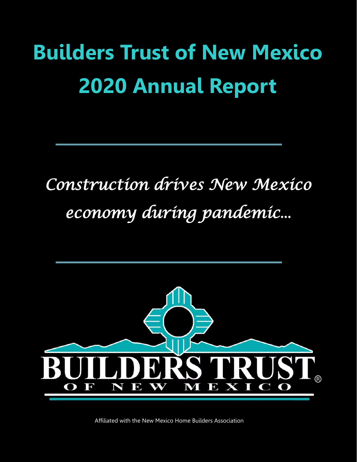## **Builders Trust of New Mexico 2020 Annual Report**

## *Construction drives New Mexico economy during pandemic...*



Affiliated with the New Mexico Home Builders Association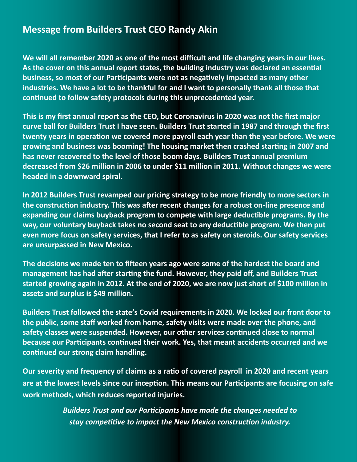## **Message from Builders Trust CEO Randy Akin**

**We will all remember 2020 as one of the most difficult and life changing years in our lives. As the cover on this annual report states, the building industry was declared an essential business, so most of our Participants were not as negatively impacted as many other industries. We have a lot to be thankful for and I want to personally thank all those that continued to follow safety protocols during this unprecedented year.**

**This is my first annual report as the CEO, but Coronavirus in 2020 was not the first major curve ball for Builders Trust I have seen. Builders Trust started in 1987 and through the first twenty years in operation we covered more payroll each year than the year before. We were growing and business was booming! The housing market then crashed starting in 2007 and has never recovered to the level of those boom days. Builders Trust annual premium decreased from \$26 million in 2006 to under \$11 million in 2011. Without changes we were headed in a downward spiral.**

**In 2012 Builders Trust revamped our pricing strategy to be more friendly to more sectors in the construction industry. This was after recent changes for a robust on-line presence and expanding our claims buyback program to compete with large deductible programs. By the way, our voluntary buyback takes no second seat to any deductible program. We then put even more focus on safety services, that I refer to as safety on steroids. Our safety services are unsurpassed in New Mexico.**

**The decisions we made ten to fifteen years ago were some of the hardest the board and management has had after starting the fund. However, they paid off, and Builders Trust started growing again in 2012. At the end of 2020, we are now just short of \$100 million in assets and surplus is \$49 million.** 

**Builders Trust followed the state's Covid requirements in 2020. We locked our front door to the public, some staff worked from home, safety visits were made over the phone, and safety classes were suspended. However, our other services continued close to normal because our Participants continued their work. Yes, that meant accidents occurred and we continued our strong claim handling.**

**Our severity and frequency of claims as a ratio of covered payroll in 2020 and recent years are at the lowest levels since our inception. This means our Participants are focusing on safe work methods, which reduces reported injuries.** 

> *Builders Trust and our Participants have made the changes needed to stay competitive to impact the New Mexico construction industry.*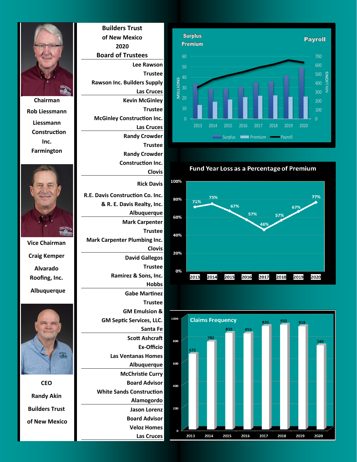

**Fund Year Loss as a Percentage of Premium** 







**Rob Liessmann Liessmann Construction Inc. Farmington**



**Vice Chairman Craig Kemper Alvarado Roofing, Inc. Albuquerque**



**CEO Randy Akin Builders Trust of New Mexico**

**Builders Trust of New Mexico 2020 Board of Trustees Lee Rawson Trustee Rawson Inc. Builders Supply Las Cruces Kevin McGinley Trustee McGinley Construction Inc. Las Cruces Randy Crowder Trustee Randy Crowder Construction Inc. Clovis Rick Davis R.E. Davis Construction Co. Inc. & R. E. Davis Realty, Inc. Albuquerque Mark Carpenter Trustee Mark Carpenter Plumbing Inc. Clovis David Gallegos Trustee Ramirez & Sons, Inc. Hobbs Gabe Martinez Trustee GM Emulsion & GM Septic Services, LLC. Santa Fe Scott Ashcraft Ex-Officio Las Ventanas Homes Albuquerque McChristie Curry Board Advisor White Sands Construction Alamogordo Jason Lorenz Board Advisor**

> **Veloz Homes Las Cruces**